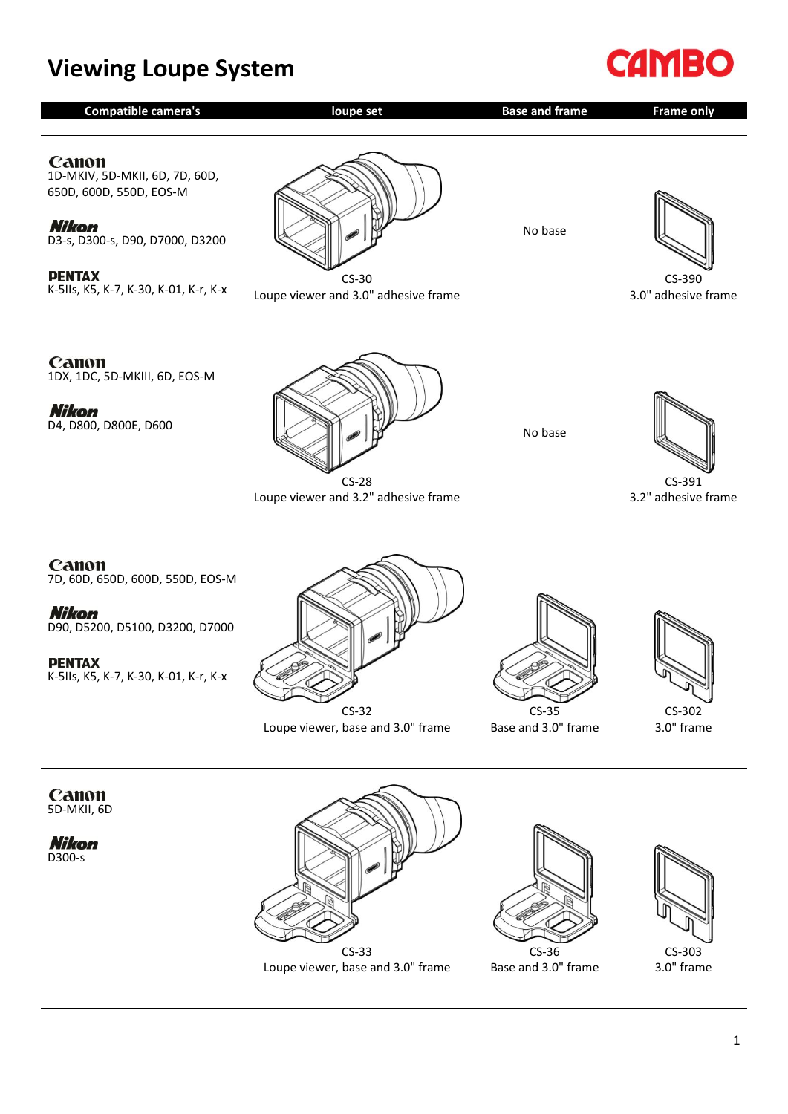## **Viewing Loupe System**



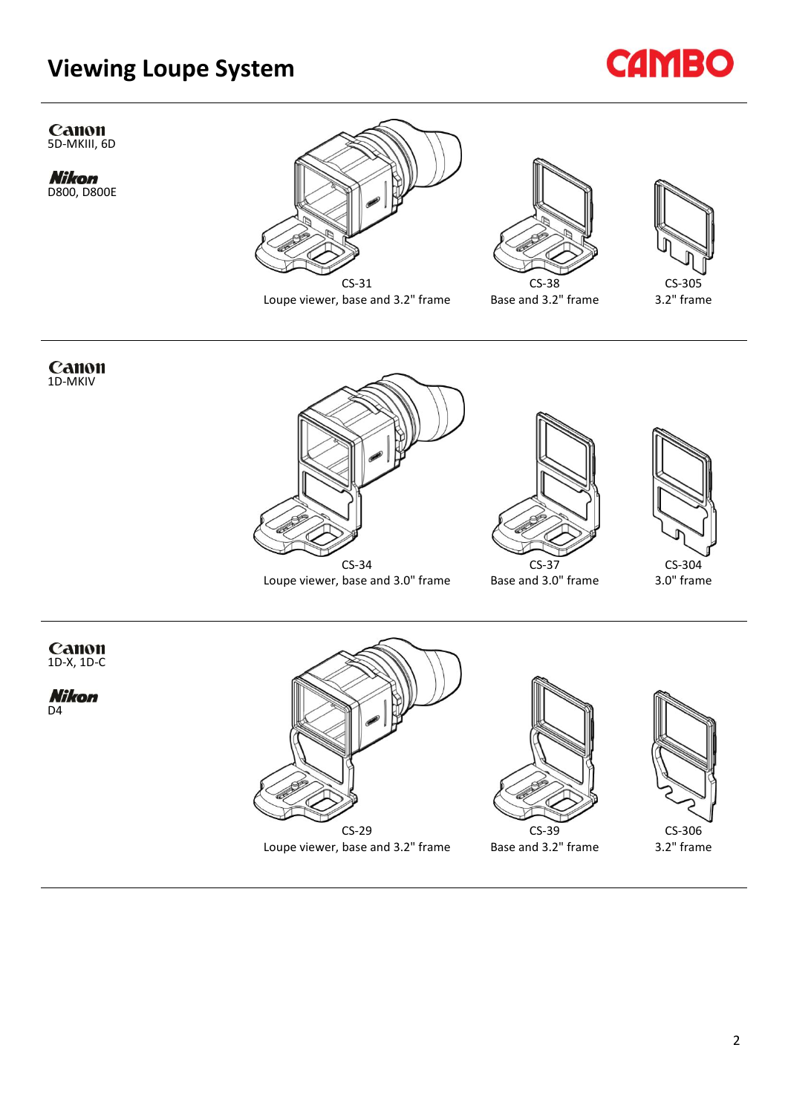## **Viewing Loupe System**



Canon<br>5D-MKIII, 6D

**Nikom**<br>D800, D800E



Loupe viewer, base and 3.2" frame



Base and 3.2" frame

CS-39 Base and 3.2" frame





CS-29 Loupe viewer, base and 3.2" frame

CS-306 3.2" frame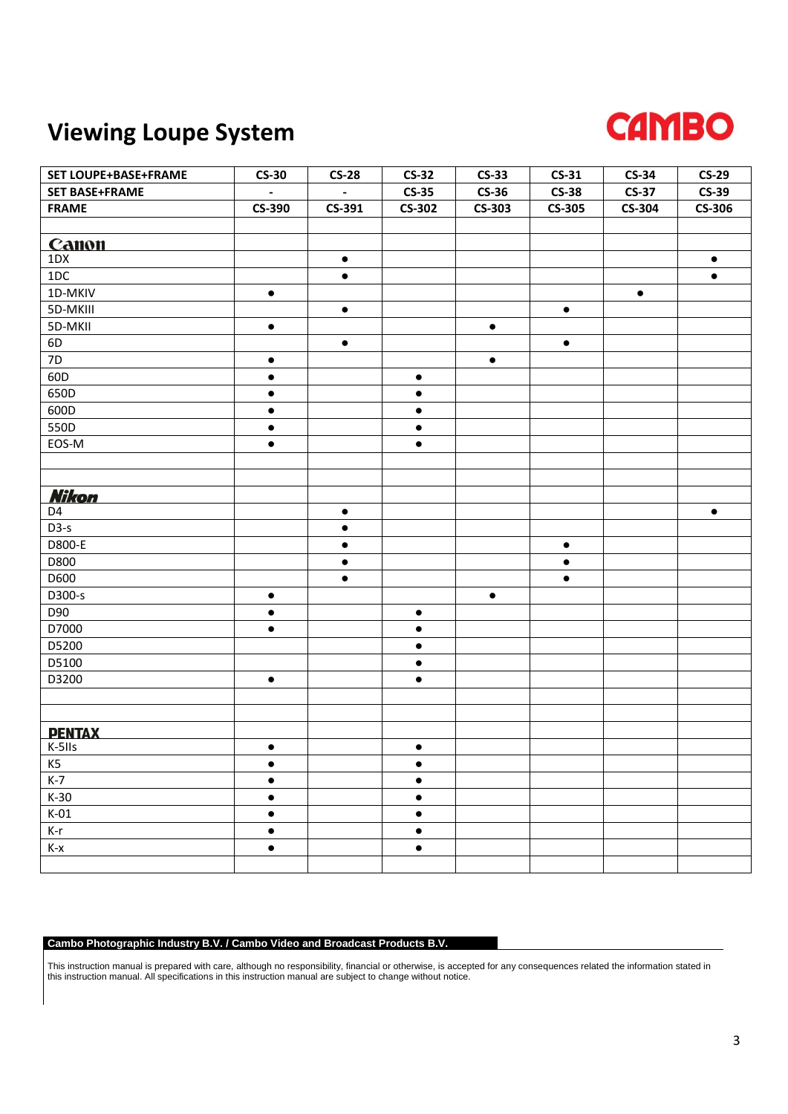## **Viewing Loupe System**



| SET LOUPE+BASE+FRAME  | $CS-30$                  | $CS-28$                  | $CS-32$       | $CS-33$       | $CS-31$       | $CS-34$       | $CS-29$       |
|-----------------------|--------------------------|--------------------------|---------------|---------------|---------------|---------------|---------------|
| <b>SET BASE+FRAME</b> | $\overline{\phantom{a}}$ | $\overline{\phantom{a}}$ | $CS-35$       | $CS-36$       | $CS-38$       | <b>CS-37</b>  | $CS-39$       |
| <b>FRAME</b>          | <b>CS-390</b>            | CS-391                   | <b>CS-302</b> | <b>CS-303</b> | <b>CS-305</b> | <b>CS-304</b> | <b>CS-306</b> |
|                       |                          |                          |               |               |               |               |               |
| Canon                 |                          |                          |               |               |               |               |               |
| 1DX                   |                          | $\bullet$                |               |               |               |               | $\bullet$     |
| 1DC                   |                          | $\bullet$                |               |               |               |               | $\bullet$     |
| 1D-MKIV               | $\bullet$                |                          |               |               |               | $\bullet$     |               |
| 5D-MKIII              |                          | $\bullet$                |               |               | $\bullet$     |               |               |
| 5D-MKII               | $\bullet$                |                          |               | $\bullet$     |               |               |               |
| 6D                    |                          | $\bullet$                |               |               | $\bullet$     |               |               |
| 7D                    | $\bullet$                |                          |               | $\bullet$     |               |               |               |
| 60D                   | $\bullet$                |                          | $\bullet$     |               |               |               |               |
| 650D                  | $\bullet$                |                          | $\bullet$     |               |               |               |               |
| 600D                  | $\bullet$                |                          | $\bullet$     |               |               |               |               |
| 550D                  | $\bullet$                |                          | $\bullet$     |               |               |               |               |
| EOS-M                 | $\bullet$                |                          | $\bullet$     |               |               |               |               |
|                       |                          |                          |               |               |               |               |               |
|                       |                          |                          |               |               |               |               |               |
| <b>Nikon</b>          |                          |                          |               |               |               |               |               |
| D4                    |                          | $\bullet$                |               |               |               |               | $\bullet$     |
| $D3-S$                |                          | $\bullet$                |               |               |               |               |               |
| D800-E                |                          | $\bullet$                |               |               | $\bullet$     |               |               |
| D800                  |                          | $\bullet$                |               |               | $\bullet$     |               |               |
| D600                  |                          | $\bullet$                |               |               | $\bullet$     |               |               |
| D300-s                | $\bullet$                |                          |               | $\bullet$     |               |               |               |
| D90                   | $\bullet$                |                          | $\bullet$     |               |               |               |               |
| D7000                 | $\bullet$                |                          | $\bullet$     |               |               |               |               |
| D5200                 |                          |                          | $\bullet$     |               |               |               |               |
| D5100                 |                          |                          | $\bullet$     |               |               |               |               |
| D3200                 | $\bullet$                |                          | $\bullet$     |               |               |               |               |
|                       |                          |                          |               |               |               |               |               |
|                       |                          |                          |               |               |               |               |               |
| <b>PENTAX</b>         |                          |                          |               |               |               |               |               |
| K-511s                | $\bullet$                |                          | $\bullet$     |               |               |               |               |
| K5                    | $\bullet$                |                          | $\bullet$     |               |               |               |               |
| $K-7$                 | $\bullet$                |                          | $\bullet$     |               |               |               |               |
| $K-30$                | $\bullet$                |                          | $\bullet$     |               |               |               |               |
| $K-01$                | $\bullet$                |                          | $\bullet$     |               |               |               |               |
| K-r                   | $\bullet$                |                          | $\bullet$     |               |               |               |               |
| $K-x$                 | $\bullet$                |                          | $\bullet$     |               |               |               |               |
|                       |                          |                          |               |               |               |               |               |

## **Cambo Photographic Industry B.V. / Cambo Video and Broadcast Products B.V.**

This instruction manual is prepared with care, although no responsibility, financial or otherwise, is accepted for any consequences related the information stated in this instruction manual. All specifications in this instruction manual are subject to change without notice.